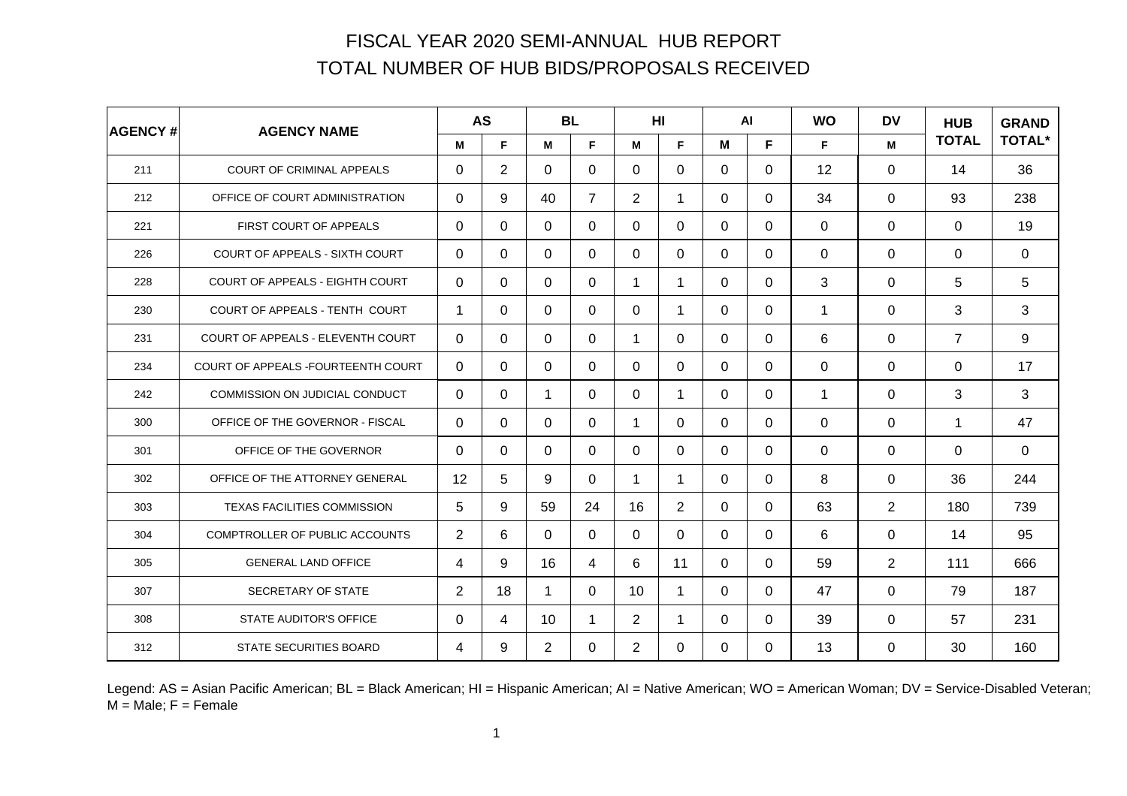| <b>AGENCY#</b> | <b>AGENCY NAME</b>                 |                | <b>AS</b>      |                | <b>BL</b>      |                | H <sub>II</sub> |          | AI       | <b>WO</b>    | <b>DV</b>      | <b>HUB</b>     | <b>GRAND</b><br><b>TOTAL*</b> |
|----------------|------------------------------------|----------------|----------------|----------------|----------------|----------------|-----------------|----------|----------|--------------|----------------|----------------|-------------------------------|
|                |                                    | м              | F              | M              | F.             | М              | F.              | М        | F.       | F.           | M              | <b>TOTAL</b>   |                               |
| 211            | <b>COURT OF CRIMINAL APPEALS</b>   | $\Omega$       | $\overline{2}$ | $\Omega$       | 0              | $\Omega$       | 0               | $\Omega$ | 0        | 12           | $\Omega$       | 14             | 36                            |
| 212            | OFFICE OF COURT ADMINISTRATION     | $\Omega$       | 9              | 40             | $\overline{7}$ | $\overline{2}$ | 1               | $\Omega$ | $\Omega$ | 34           | 0              | 93             | 238                           |
| 221            | FIRST COURT OF APPEALS             | $\Omega$       | $\Omega$       | $\Omega$       | 0              | $\Omega$       | $\Omega$        | $\Omega$ | 0        | 0            | 0              | $\Omega$       | 19                            |
| 226            | COURT OF APPEALS - SIXTH COURT     | $\Omega$       | $\Omega$       | 0              | 0              | $\Omega$       | $\mathbf 0$     | 0        | $\Omega$ | 0            | 0              | 0              | $\mathbf 0$                   |
| 228            | COURT OF APPEALS - EIGHTH COURT    | $\Omega$       | $\Omega$       | $\Omega$       | $\Omega$       | 1              | $\mathbf 1$     | $\Omega$ | $\Omega$ | 3            | 0              | 5              | 5                             |
| 230            | COURT OF APPEALS - TENTH COURT     | 1              | $\Omega$       | $\Omega$       | 0              | $\Omega$       | 1               | $\Omega$ | $\Omega$ | $\mathbf 1$  | $\Omega$       | 3              | 3                             |
| 231            | COURT OF APPEALS - ELEVENTH COURT  | $\Omega$       | $\Omega$       | $\Omega$       | 0              | 1              | $\Omega$        | $\Omega$ | $\Omega$ | 6            | $\Omega$       | $\overline{7}$ | 9                             |
| 234            | COURT OF APPEALS -FOURTEENTH COURT | $\Omega$       | $\Omega$       | $\Omega$       | 0              | $\Omega$       | $\Omega$        | $\Omega$ | $\Omega$ | $\Omega$     | $\Omega$       | $\Omega$       | 17                            |
| 242            | COMMISSION ON JUDICIAL CONDUCT     | $\mathbf 0$    | $\Omega$       | $\mathbf 1$    | 0              | $\Omega$       | $\mathbf 1$     | $\Omega$ | $\Omega$ | $\mathbf{1}$ | 0              | 3              | 3                             |
| 300            | OFFICE OF THE GOVERNOR - FISCAL    | $\Omega$       | $\Omega$       | $\Omega$       | 0              | 1              | $\Omega$        | $\Omega$ | $\Omega$ | 0            | 0              | 1              | 47                            |
| 301            | OFFICE OF THE GOVERNOR             | $\Omega$       | $\Omega$       | $\Omega$       | 0              | $\Omega$       | 0               | $\Omega$ | $\Omega$ | 0            | 0              | $\Omega$       | $\mathbf 0$                   |
| 302            | OFFICE OF THE ATTORNEY GENERAL     | 12             | 5              | 9              | 0              | 1              | 1               | $\Omega$ | $\Omega$ | 8            | $\Omega$       | 36             | 244                           |
| 303            | TEXAS FACILITIES COMMISSION        | 5              | 9              | 59             | 24             | 16             | $\overline{2}$  | $\Omega$ | $\Omega$ | 63           | $\overline{2}$ | 180            | 739                           |
| 304            | COMPTROLLER OF PUBLIC ACCOUNTS     | $\overline{2}$ | 6              | $\Omega$       | $\Omega$       | $\Omega$       | $\Omega$        | $\Omega$ | $\Omega$ | 6            | $\Omega$       | 14             | 95                            |
| 305            | <b>GENERAL LAND OFFICE</b>         | 4              | 9              | 16             | 4              | 6              | 11              | $\Omega$ | $\Omega$ | 59           | 2              | 111            | 666                           |
| 307            | SECRETARY OF STATE                 | $\overline{2}$ | 18             | 1              | 0              | 10             | 1               | $\Omega$ | 0        | 47           | $\Omega$       | 79             | 187                           |
| 308            | <b>STATE AUDITOR'S OFFICE</b>      | $\Omega$       | 4              | 10             | 1              | 2              | 1               | $\Omega$ | $\Omega$ | 39           | $\Omega$       | 57             | 231                           |
| 312            | STATE SECURITIES BOARD             | 4              | 9              | $\overline{2}$ | 0              | $\overline{2}$ | 0               | $\Omega$ | $\Omega$ | 13           | 0              | 30             | 160                           |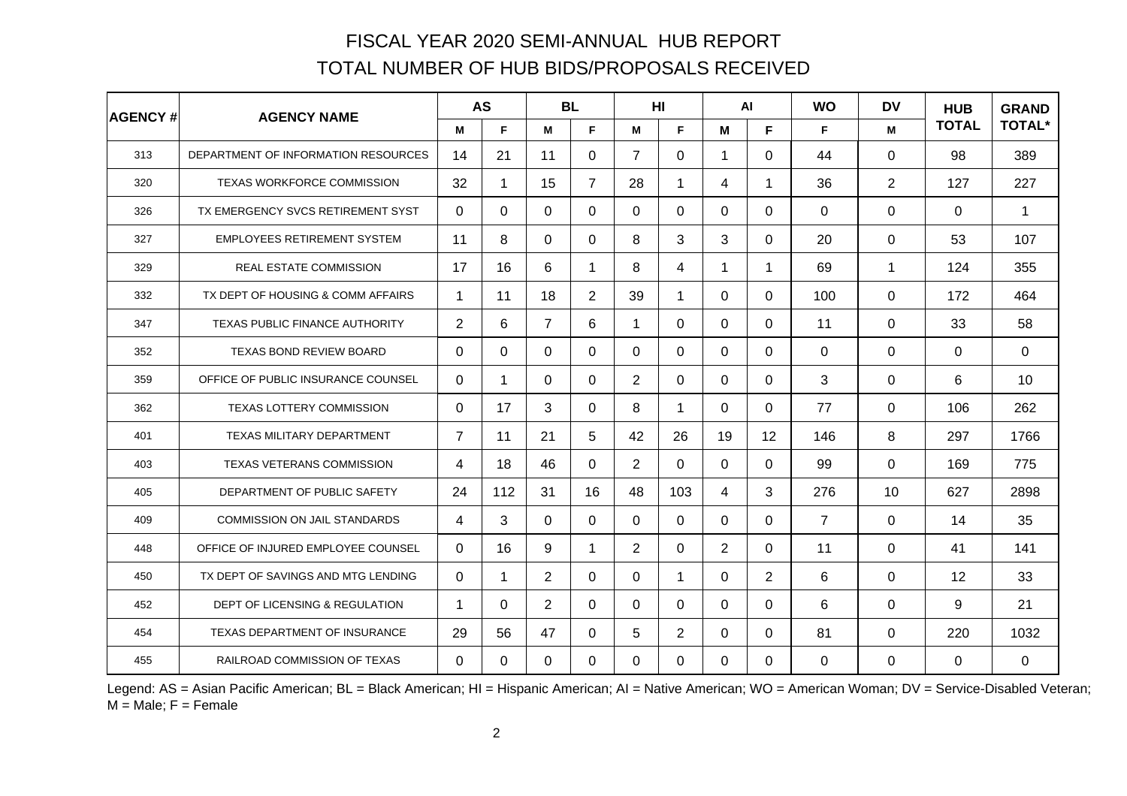| <b>AGENCY#</b> | <b>AGENCY NAME</b>                    |                | <b>AS</b>   |                | <b>BL</b>      |                | H <sub>II</sub> |                      | <b>WO</b><br>$\mathsf{Al}$ |                | <b>DV</b>      | <b>HUB</b>   | <b>GRAND</b>  |
|----------------|---------------------------------------|----------------|-------------|----------------|----------------|----------------|-----------------|----------------------|----------------------------|----------------|----------------|--------------|---------------|
|                |                                       | M              | F           | M              | F.             | M              | F.              | M                    | F.                         | F.             | M              | <b>TOTAL</b> | <b>TOTAL*</b> |
| 313            | DEPARTMENT OF INFORMATION RESOURCES   | 14             | 21          | 11             | 0              | $\overline{7}$ | 0               | $\blacktriangleleft$ | 0                          | 44             | $\Omega$       | 98           | 389           |
| 320            | TEXAS WORKFORCE COMMISSION            | 32             | 1           | 15             | $\overline{7}$ | 28             | 1               | 4                    | 1                          | 36             | $\overline{2}$ | 127          | 227           |
| 326            | TX EMERGENCY SVCS RETIREMENT SYST     | $\Omega$       | $\Omega$    | $\Omega$       | $\Omega$       | $\Omega$       | $\Omega$        | $\Omega$             | $\Omega$                   | $\Omega$       | $\Omega$       | $\Omega$     | 1             |
| 327            | <b>EMPLOYEES RETIREMENT SYSTEM</b>    | 11             | 8           | $\Omega$       | 0              | 8              | 3               | 3                    | 0                          | 20             | 0              | 53           | 107           |
| 329            | <b>REAL ESTATE COMMISSION</b>         | 17             | 16          | 6              | 1              | 8              | 4               | $\blacktriangleleft$ | 1                          | 69             | $\mathbf{1}$   | 124          | 355           |
| 332            | TX DEPT OF HOUSING & COMM AFFAIRS     | 1              | 11          | 18             | $\overline{2}$ | 39             | 1               | $\Omega$             | 0                          | 100            | 0              | 172          | 464           |
| 347            | <b>TEXAS PUBLIC FINANCE AUTHORITY</b> | $\overline{2}$ | 6           | $\overline{7}$ | 6              | 1              | $\Omega$        | $\mathbf 0$          | $\Omega$                   | 11             | 0              | 33           | 58            |
| 352            | <b>TEXAS BOND REVIEW BOARD</b>        | $\Omega$       | $\Omega$    | $\Omega$       | 0              | $\Omega$       | $\Omega$        | $\Omega$             | 0                          | $\Omega$       | $\Omega$       | $\Omega$     | $\Omega$      |
| 359            | OFFICE OF PUBLIC INSURANCE COUNSEL    | $\Omega$       | $\mathbf 1$ | $\Omega$       | $\Omega$       | $\overline{2}$ | $\Omega$        | $\Omega$             | 0                          | 3              | 0              | 6            | 10            |
| 362            | TEXAS LOTTERY COMMISSION              | $\Omega$       | 17          | 3              | $\Omega$       | 8              | 1               | $\Omega$             | 0                          | 77             | $\Omega$       | 106          | 262           |
| 401            | TEXAS MILITARY DEPARTMENT             | $\overline{7}$ | 11          | 21             | 5              | 42             | 26              | 19                   | 12                         | 146            | 8              | 297          | 1766          |
| 403            | <b>TEXAS VETERANS COMMISSION</b>      | 4              | 18          | 46             | $\Omega$       | $\overline{2}$ | $\Omega$        | $\Omega$             | $\Omega$                   | 99             | $\Omega$       | 169          | 775           |
| 405            | DEPARTMENT OF PUBLIC SAFETY           | 24             | 112         | 31             | 16             | 48             | 103             | 4                    | 3                          | 276            | 10             | 627          | 2898          |
| 409            | <b>COMMISSION ON JAIL STANDARDS</b>   | 4              | 3           | $\Omega$       | $\Omega$       | $\mathbf{0}$   | $\Omega$        | $\Omega$             | $\Omega$                   | $\overline{7}$ | 0              | 14           | 35            |
| 448            | OFFICE OF INJURED EMPLOYEE COUNSEL    | $\Omega$       | 16          | 9              | 1              | $\overline{2}$ | 0               | $\overline{2}$       | 0                          | 11             | $\mathbf{0}$   | 41           | 141           |
| 450            | TX DEPT OF SAVINGS AND MTG LENDING    | $\Omega$       | $\mathbf 1$ | $\overline{2}$ | $\Omega$       | $\Omega$       | 1               | $\Omega$             | $\overline{2}$             | 6              | $\Omega$       | 12           | 33            |
| 452            | DEPT OF LICENSING & REGULATION        | 1              | $\Omega$    | $\overline{2}$ | 0              | $\mathbf 0$    | $\Omega$        | $\mathbf 0$          | $\Omega$                   | 6              | $\Omega$       | 9            | 21            |
| 454            | <b>TEXAS DEPARTMENT OF INSURANCE</b>  | 29             | 56          | 47             | $\Omega$       | 5              | $\overline{2}$  | $\Omega$             | 0                          | 81             | 0              | 220          | 1032          |
| 455            | RAILROAD COMMISSION OF TEXAS          | $\Omega$       | $\Omega$    | $\Omega$       | 0              | $\Omega$       | 0               | $\Omega$             | 0                          | 0              | 0              | $\Omega$     | $\mathbf 0$   |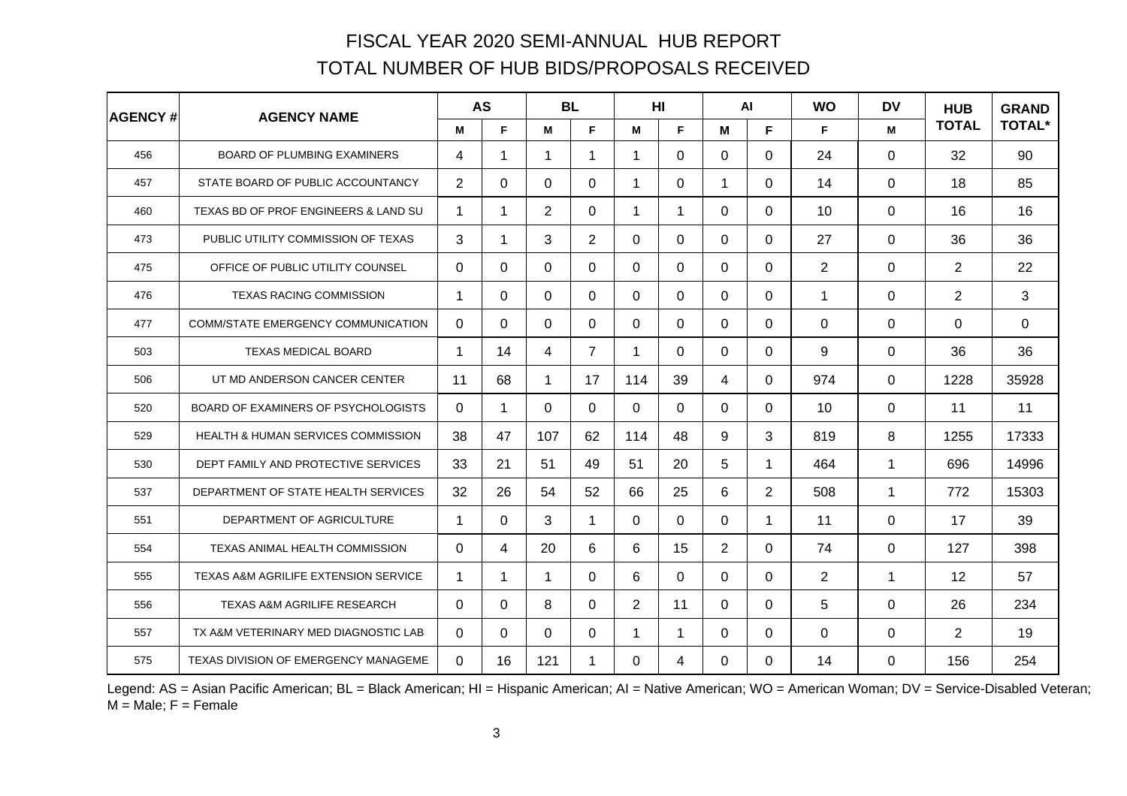| <b>AGENCY#</b> | <b>AGENCY NAME</b>                              | <b>AS</b>      |              | <b>BL</b>   |                |                | H <sub>II</sub> |                | <b>WO</b><br><b>AI</b> |             | <b>DV</b>    | <b>HUB</b>     | <b>GRAND</b>  |
|----------------|-------------------------------------------------|----------------|--------------|-------------|----------------|----------------|-----------------|----------------|------------------------|-------------|--------------|----------------|---------------|
|                |                                                 | M              | F            | M           | F.             | M              | F.              | M              | F.                     | F.          | M            | <b>TOTAL</b>   | <b>TOTAL*</b> |
| 456            | <b>BOARD OF PLUMBING EXAMINERS</b>              | 4              | 1            | 1           | $\mathbf 1$    | 1              | 0               | $\Omega$       | 0                      | 24          | $\Omega$     | 32             | 90            |
| 457            | STATE BOARD OF PUBLIC ACCOUNTANCY               | $\overline{2}$ | $\Omega$     | $\mathbf 0$ | $\Omega$       | 1              | 0               | $\mathbf{1}$   | 0                      | 14          | $\mathbf{0}$ | 18             | 85            |
| 460            | TEXAS BD OF PROF ENGINEERS & LAND SU            | 1              | $\mathbf 1$  | 2           | 0              | 1              | 1               | $\Omega$       | 0                      | 10          | $\Omega$     | 16             | 16            |
| 473            | PUBLIC UTILITY COMMISSION OF TEXAS              | 3              | $\mathbf 1$  | 3           | $\overline{2}$ | $\Omega$       | $\Omega$        | $\Omega$       | 0                      | 27          | 0            | 36             | 36            |
| 475            | OFFICE OF PUBLIC UTILITY COUNSEL                | $\Omega$       | $\Omega$     | $\Omega$    | $\Omega$       | $\Omega$       | 0               | $\Omega$       | 0                      | 2           | $\Omega$     | 2              | 22            |
| 476            | <b>TEXAS RACING COMMISSION</b>                  | 1              | $\Omega$     | 0           | 0              | $\mathbf{0}$   | 0               | $\Omega$       | 0                      | $\mathbf 1$ | 0            | $\overline{2}$ | 3             |
| 477            | COMM/STATE EMERGENCY COMMUNICATION              | $\Omega$       | $\mathbf 0$  | $\mathbf 0$ | $\mathbf 0$    | $\mathbf 0$    | $\Omega$        | $\mathbf 0$    | $\Omega$               | $\Omega$    | $\mathbf 0$  | $\mathbf 0$    | 0             |
| 503            | <b>TEXAS MEDICAL BOARD</b>                      | 1              | 14           | 4           | $\overline{7}$ | 1              | 0               | $\Omega$       | 0                      | 9           | 0            | 36             | 36            |
| 506            | UT MD ANDERSON CANCER CENTER                    | 11             | 68           | 1           | 17             | 114            | 39              | 4              | 0                      | 974         | 0            | 1228           | 35928         |
| 520            | BOARD OF EXAMINERS OF PSYCHOLOGISTS             | $\Omega$       | $\mathbf{1}$ | $\Omega$    | $\Omega$       | $\mathbf{0}$   | 0               | $\Omega$       | 0                      | 10          | $\mathbf{0}$ | 11             | 11            |
| 529            | <b>HEALTH &amp; HUMAN SERVICES COMMISSION</b>   | 38             | 47           | 107         | 62             | 114            | 48              | 9              | 3                      | 819         | 8            | 1255           | 17333         |
| 530            | DEPT FAMILY AND PROTECTIVE SERVICES             | 33             | 21           | 51          | 49             | 51             | 20              | 5              | 1.                     | 464         | $\mathbf{1}$ | 696            | 14996         |
| 537            | DEPARTMENT OF STATE HEALTH SERVICES             | 32             | 26           | 54          | 52             | 66             | 25              | 6              | $\overline{2}$         | 508         | 1            | 772            | 15303         |
| 551            | DEPARTMENT OF AGRICULTURE                       | 1              | $\Omega$     | 3           | $\mathbf{1}$   | $\mathbf{0}$   | $\Omega$        | $\Omega$       | $\mathbf 1$            | 11          | 0            | 17             | 39            |
| 554            | TEXAS ANIMAL HEALTH COMMISSION                  | $\Omega$       | 4            | 20          | 6              | 6              | 15              | $\overline{2}$ | 0                      | 74          | $\Omega$     | 127            | 398           |
| 555            | <b>TEXAS A&amp;M AGRILIFE EXTENSION SERVICE</b> | 1              | 1            | 1           | $\Omega$       | 6              | 0               | $\Omega$       | 0                      | 2           | $\mathbf{1}$ | 12             | 57            |
| 556            | TEXAS A&M AGRILIFE RESEARCH                     | $\Omega$       | $\Omega$     | 8           | 0              | $\overline{2}$ | 11              | $\Omega$       | $\Omega$               | 5           | $\Omega$     | 26             | 234           |
| 557            | TX A&M VETERINARY MED DIAGNOSTIC LAB            | $\Omega$       | $\Omega$     | $\Omega$    | $\Omega$       | 1              | 1               | $\Omega$       | 0                      | 0           | 0            | $\overline{2}$ | 19            |
| 575            | TEXAS DIVISION OF EMERGENCY MANAGEME            | $\Omega$       | 16           | 121         | 1              | $\Omega$       | 4               | $\Omega$       | 0                      | 14          | 0            | 156            | 254           |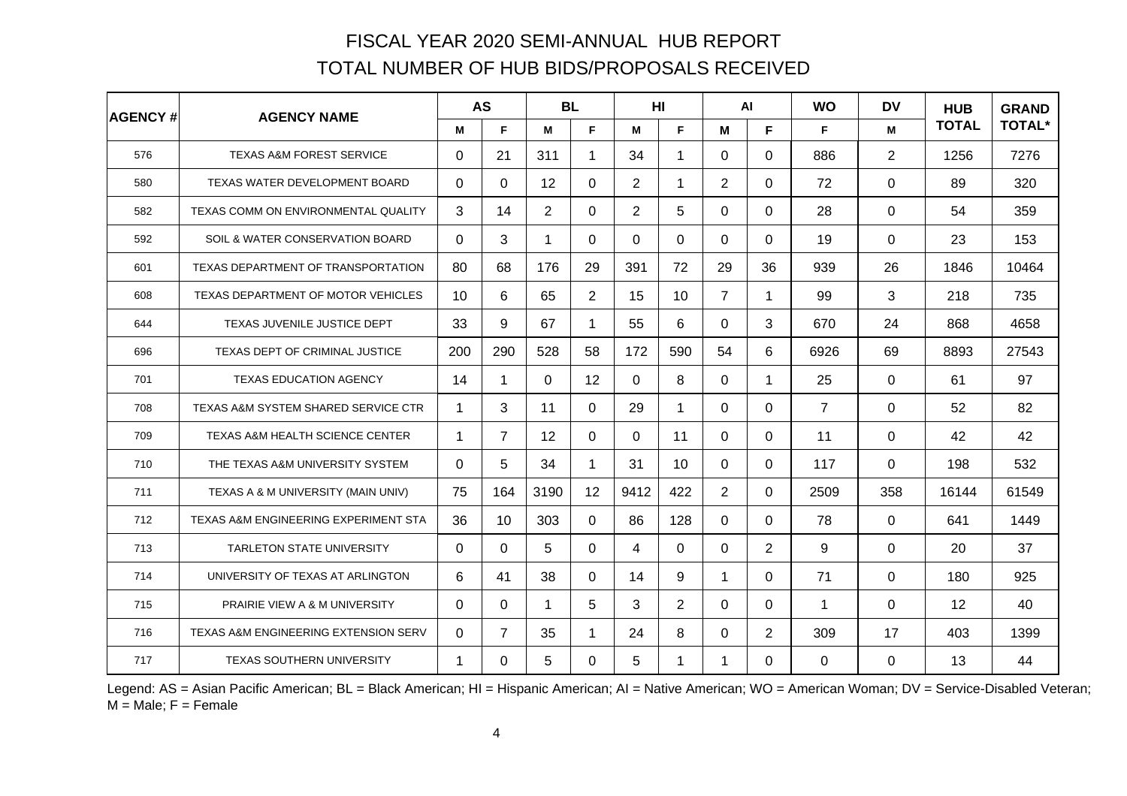| <b>AGENCY#</b> | <b>AGENCY NAME</b>                         |          | <b>AS</b>            | <b>BL</b>      |                | H <sub>I</sub> |                 |                | $\mathsf{Al}$  | <b>WO</b>      | <b>DV</b>    | <b>HUB</b>   | <b>GRAND</b><br><b>TOTAL*</b> |
|----------------|--------------------------------------------|----------|----------------------|----------------|----------------|----------------|-----------------|----------------|----------------|----------------|--------------|--------------|-------------------------------|
|                |                                            | м        | F                    | M              | F.             | M              | F               | M              | F.             | F.             | M            | <b>TOTAL</b> |                               |
| 576            | TEXAS A&M FOREST SERVICE                   | $\Omega$ | 21                   | 311            | $\mathbf 1$    | 34             | 1               | $\Omega$       | 0              | 886            | 2            | 1256         | 7276                          |
| 580            | TEXAS WATER DEVELOPMENT BOARD              | $\Omega$ | $\Omega$             | 12             | 0              | $\overline{2}$ | 1               | $\overline{2}$ | $\Omega$       | 72             | 0            | 89           | 320                           |
| 582            | TEXAS COMM ON ENVIRONMENTAL QUALITY        | 3        | 14                   | $\overline{2}$ | 0              | 2              | 5               | $\Omega$       | 0              | 28             | $\Omega$     | 54           | 359                           |
| 592            | SOIL & WATER CONSERVATION BOARD            | $\Omega$ | 3                    | 1              | 0              | $\Omega$       | $\Omega$        | $\Omega$       | 0              | 19             | 0            | 23           | 153                           |
| 601            | TEXAS DEPARTMENT OF TRANSPORTATION         | 80       | 68                   | 176            | 29             | 391            | 72              | 29             | 36             | 939            | 26           | 1846         | 10464                         |
| 608            | TEXAS DEPARTMENT OF MOTOR VEHICLES         | 10       | 6                    | 65             | $\overline{2}$ | 15             | 10              | $\overline{7}$ | 1              | 99             | 3            | 218          | 735                           |
| 644            | TEXAS JUVENILE JUSTICE DEPT                | 33       | 9                    | 67             | $\mathbf{1}$   | 55             | 6               | $\Omega$       | 3              | 670            | 24           | 868          | 4658                          |
| 696            | TEXAS DEPT OF CRIMINAL JUSTICE             | 200      | 290                  | 528            | 58             | 172            | 590             | 54             | 6              | 6926           | 69           | 8893         | 27543                         |
| 701            | <b>TEXAS EDUCATION AGENCY</b>              | 14       | $\blacktriangleleft$ | $\Omega$       | 12             | $\Omega$       | 8               | $\Omega$       | $\mathbf 1$    | 25             | 0            | 61           | 97                            |
| 708            | TEXAS A&M SYSTEM SHARED SERVICE CTR        | 1        | 3                    | 11             | 0              | 29             | 1               | $\Omega$       | 0              | $\overline{7}$ | $\Omega$     | 52           | 82                            |
| 709            | <b>TEXAS A&amp;M HEALTH SCIENCE CENTER</b> | 1        | $\overline{7}$       | 12             | $\Omega$       | $\mathbf{0}$   | 11              | $\Omega$       | 0              | 11             | $\Omega$     | 42           | 42                            |
| 710            | THE TEXAS A&M UNIVERSITY SYSTEM            | $\Omega$ | 5                    | 34             | $\mathbf{1}$   | 31             | 10 <sup>1</sup> | $\mathbf 0$    | $\Omega$       | 117            | $\mathbf{0}$ | 198          | 532                           |
| 711            | TEXAS A & M UNIVERSITY (MAIN UNIV)         | 75       | 164                  | 3190           | 12             | 9412           | 422             | $\overline{2}$ | 0              | 2509           | 358          | 16144        | 61549                         |
| 712            | TEXAS A&M ENGINEERING EXPERIMENT STA       | 36       | 10                   | 303            | $\Omega$       | 86             | 128             | $\Omega$       | 0              | 78             | $\Omega$     | 641          | 1449                          |
| 713            | <b>TARLETON STATE UNIVERSITY</b>           | $\Omega$ | $\Omega$             | 5              | $\Omega$       | 4              | $\Omega$        | $\mathbf 0$    | $\overline{2}$ | 9              | 0            | 20           | 37                            |
| 714            | UNIVERSITY OF TEXAS AT ARLINGTON           | 6        | 41                   | 38             | 0              | 14             | 9               | 1              | 0              | 71             | $\Omega$     | 180          | 925                           |
| 715            | PRAIRIE VIEW A & M UNIVERSITY              | $\Omega$ | $\Omega$             | 1              | 5              | 3              | $\overline{2}$  | $\Omega$       | $\Omega$       | $\mathbf{1}$   | $\Omega$     | 12           | 40                            |
| 716            | TEXAS A&M ENGINEERING EXTENSION SERV       | $\Omega$ | $\overline{7}$       | 35             | $\mathbf 1$    | 24             | 8               | $\Omega$       | $\overline{2}$ | 309            | 17           | 403          | 1399                          |
| 717            | <b>TEXAS SOUTHERN UNIVERSITY</b>           | 1        | 0                    | 5              | 0              | 5              | 1               | 1              | 0              | 0              | 0            | 13           | 44                            |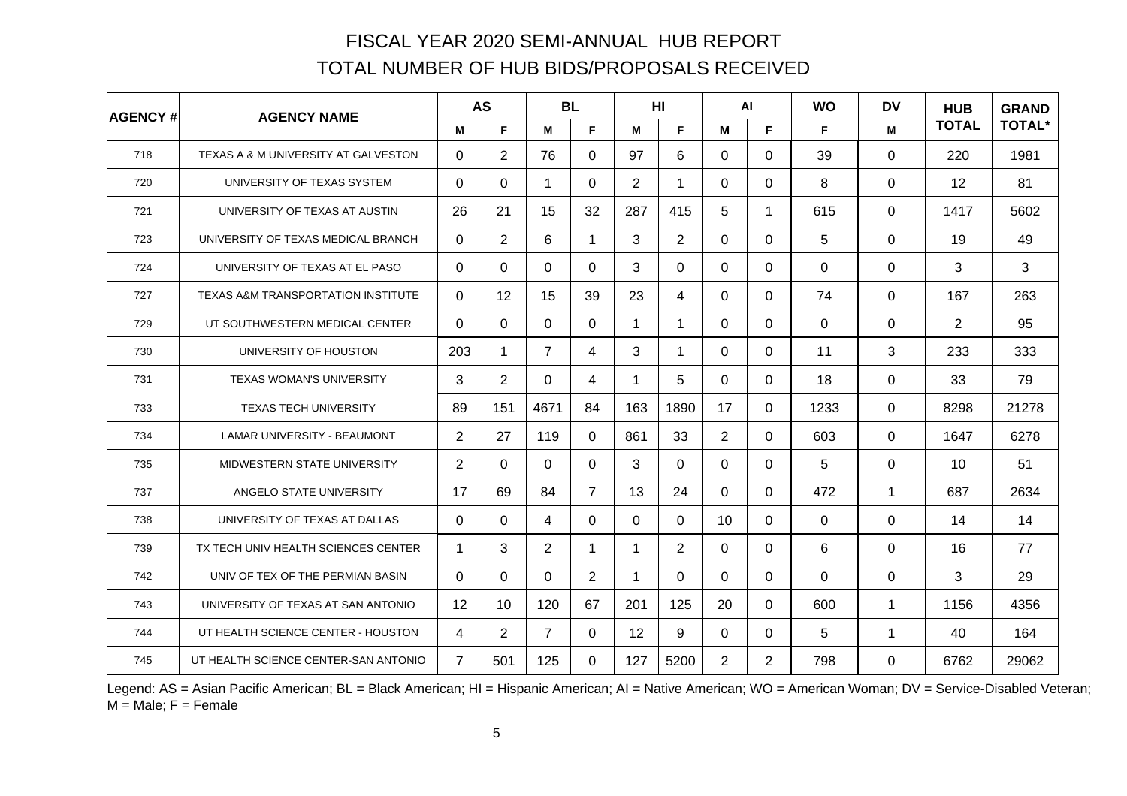| <b>AGENCY#</b> | <b>AGENCY NAME</b>                            |                | <b>AS</b>      |                | <b>BL</b>      |     | H <sub>II</sub> |                | $\mathsf{Al}$  | <b>WO</b> | <b>DV</b>            | <b>HUB</b>     | <b>GRAND</b>  |
|----------------|-----------------------------------------------|----------------|----------------|----------------|----------------|-----|-----------------|----------------|----------------|-----------|----------------------|----------------|---------------|
|                |                                               | M              | F              | M              | F.             | M   | F.              | M              | F              | F.        | M                    | <b>TOTAL</b>   | <b>TOTAL*</b> |
| 718            | TEXAS A & M UNIVERSITY AT GALVESTON           | 0              | $\overline{2}$ | 76             | $\Omega$       | 97  | 6               | $\Omega$       | 0              | 39        | $\mathbf{0}$         | 220            | 1981          |
| 720            | UNIVERSITY OF TEXAS SYSTEM                    | $\Omega$       | $\Omega$       | $\mathbf 1$    | $\mathbf 0$    | 2   | 1               | $\mathbf{0}$   | $\Omega$       | 8         | $\mathbf{0}$         | 12             | 81            |
| 721            | UNIVERSITY OF TEXAS AT AUSTIN                 | 26             | 21             | 15             | 32             | 287 | 415             | 5              | 1.             | 615       | $\mathbf{0}$         | 1417           | 5602          |
| 723            | UNIVERSITY OF TEXAS MEDICAL BRANCH            | 0              | $\overline{2}$ | 6              | 1              | 3   | $\overline{2}$  | $\Omega$       | 0              | 5         | $\mathbf{0}$         | 19             | 49            |
| 724            | UNIVERSITY OF TEXAS AT EL PASO                | 0              | $\Omega$       | $\Omega$       | $\Omega$       | 3   | 0               | $\Omega$       | 0              | $\Omega$  | $\mathbf{0}$         | 3              | 3             |
| 727            | <b>TEXAS A&amp;M TRANSPORTATION INSTITUTE</b> | $\Omega$       | 12             | 15             | 39             | 23  | 4               | $\Omega$       | 0              | 74        | 0                    | 167            | 263           |
| 729            | UT SOUTHWESTERN MEDICAL CENTER                | $\Omega$       | $\overline{0}$ | $\mathbf 0$    | $\mathbf 0$    | 1   | 1               | $\mathbf 0$    | $\Omega$       | 0         | $\mathbf 0$          | $\overline{2}$ | 95            |
| 730            | UNIVERSITY OF HOUSTON                         | 203            | 1              | $\overline{7}$ | 4              | 3   | 1.              | $\Omega$       | 0              | 11        | 3                    | 233            | 333           |
| 731            | <b>TEXAS WOMAN'S UNIVERSITY</b>               | 3              | $\overline{2}$ | $\Omega$       | 4              | 1   | 5               | $\Omega$       | $\Omega$       | 18        | $\mathbf{0}$         | 33             | 79            |
| 733            | <b>TEXAS TECH UNIVERSITY</b>                  | 89             | 151            | 4671           | 84             | 163 | 1890            | 17             | 0              | 1233      | $\Omega$             | 8298           | 21278         |
| 734            | <b>LAMAR UNIVERSITY - BEAUMONT</b>            | $\overline{2}$ | 27             | 119            | $\Omega$       | 861 | 33              | $\overline{2}$ | 0              | 603       | $\mathbf{0}$         | 1647           | 6278          |
| 735            | MIDWESTERN STATE UNIVERSITY                   | $\overline{2}$ | $\Omega$       | $\Omega$       | $\mathbf 0$    | 3   | 0               | $\Omega$       | 0              | 5         | $\Omega$             | 10             | 51            |
| 737            | ANGELO STATE UNIVERSITY                       | 17             | 69             | 84             | $\overline{7}$ | 13  | 24              | $\Omega$       | 0              | 472       | -1                   | 687            | 2634          |
| 738            | UNIVERSITY OF TEXAS AT DALLAS                 | $\Omega$       | $\Omega$       | 4              | $\Omega$       | 0   | 0               | 10             | 0              | 0         | 0                    | 14             | 14            |
| 739            | TX TECH UNIV HEALTH SCIENCES CENTER           | 1              | 3              | 2              | $\mathbf 1$    | 1   | $\overline{2}$  | $\Omega$       | 0              | 6         | $\mathbf{0}$         | 16             | 77            |
| 742            | UNIV OF TEX OF THE PERMIAN BASIN              | $\Omega$       | 0              | $\Omega$       | $\overline{2}$ | 1   | 0               | $\Omega$       | 0              | $\Omega$  | $\mathbf{0}$         | 3              | 29            |
| 743            | UNIVERSITY OF TEXAS AT SAN ANTONIO            | 12             | 10             | 120            | 67             | 201 | 125             | 20             | 0              | 600       | $\blacktriangleleft$ | 1156           | 4356          |
| 744            | UT HEALTH SCIENCE CENTER - HOUSTON            | 4              | $\overline{2}$ | $\overline{7}$ | $\Omega$       | 12  | 9               | $\Omega$       | $\Omega$       | 5         | $\overline{1}$       | 40             | 164           |
| 745            | UT HEALTH SCIENCE CENTER-SAN ANTONIO          | $\overline{7}$ | 501            | 125            | 0              | 127 | 5200            | 2              | $\overline{2}$ | 798       | $\mathbf{0}$         | 6762           | 29062         |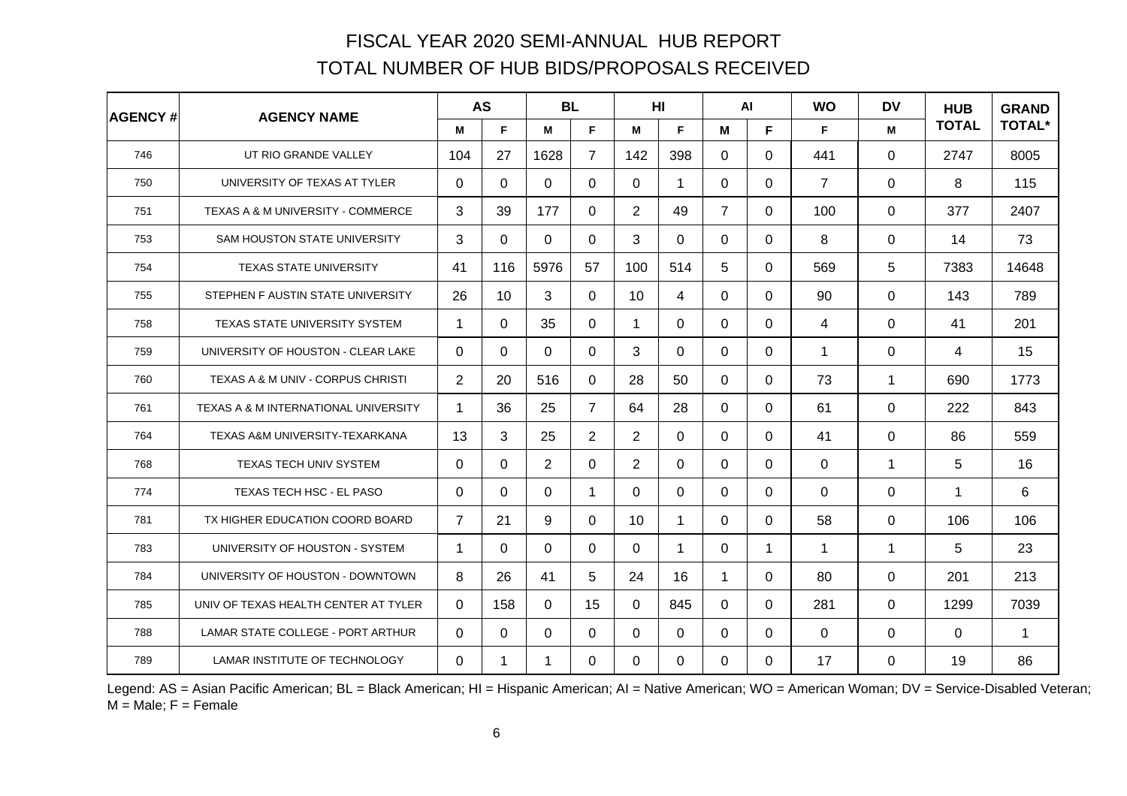| <b>AGENCY#</b> | <b>AGENCY NAME</b>                   | <b>AS</b>      |                | <b>BL</b>   |                |                 | H <sub>II</sub> |                | <b>WO</b><br>$\mathsf{Al}$ |                | <b>DV</b>    | <b>HUB</b>   | <b>GRAND</b>  |
|----------------|--------------------------------------|----------------|----------------|-------------|----------------|-----------------|-----------------|----------------|----------------------------|----------------|--------------|--------------|---------------|
|                |                                      | M              | F              | M           | F.             | M               | F.              | M              | F.                         | F.             | M            | <b>TOTAL</b> | <b>TOTAL*</b> |
| 746            | UT RIO GRANDE VALLEY                 | 104            | 27             | 1628        | $\overline{7}$ | 142             | 398             | $\Omega$       | 0                          | 441            | $\Omega$     | 2747         | 8005          |
| 750            | UNIVERSITY OF TEXAS AT TYLER         | $\Omega$       | $\Omega$       | $\mathbf 0$ | 0              | $\mathbf 0$     | 1               | $\Omega$       | 0                          | $\overline{7}$ | $\mathbf{0}$ | 8            | 115           |
| 751            | TEXAS A & M UNIVERSITY - COMMERCE    | 3              | 39             | 177         | $\Omega$       | $\overline{2}$  | 49              | $\overline{7}$ | 0                          | 100            | $\Omega$     | 377          | 2407          |
| 753            | SAM HOUSTON STATE UNIVERSITY         | 3              | $\Omega$       | $\Omega$    | 0              | 3               | $\Omega$        | $\Omega$       | 0                          | 8              | $\mathbf 0$  | 14           | 73            |
| 754            | <b>TEXAS STATE UNIVERSITY</b>        | 41             | 116            | 5976        | 57             | 100             | 514             | 5              | 0                          | 569            | 5            | 7383         | 14648         |
| 755            | STEPHEN F AUSTIN STATE UNIVERSITY    | 26             | 10             | 3           | $\Omega$       | 10 <sup>°</sup> | 4               | $\Omega$       | 0                          | 90             | $\mathbf 0$  | 143          | 789           |
| 758            | TEXAS STATE UNIVERSITY SYSTEM        | $\mathbf{1}$   | $\overline{0}$ | 35          | 0              | $\mathbf{1}$    | $\Omega$        | $\mathbf 0$    | $\Omega$                   | 4              | 0            | 41           | 201           |
| 759            | UNIVERSITY OF HOUSTON - CLEAR LAKE   | $\Omega$       | $\Omega$       | 0           | 0              | 3               | $\Omega$        | $\Omega$       | 0                          | $\mathbf 1$    | $\Omega$     | 4            | 15            |
| 760            | TEXAS A & M UNIV - CORPUS CHRISTI    | $\overline{2}$ | 20             | 516         | 0              | 28              | 50              | $\Omega$       | 0                          | 73             | $\mathbf{1}$ | 690          | 1773          |
| 761            | TEXAS A & M INTERNATIONAL UNIVERSITY | 1              | 36             | 25          | $\overline{7}$ | 64              | 28              | $\Omega$       | 0                          | 61             | $\mathbf{0}$ | 222          | 843           |
| 764            | TEXAS A&M UNIVERSITY-TEXARKANA       | 13             | 3              | 25          | $\overline{2}$ | $\overline{2}$  | $\Omega$        | $\Omega$       | $\Omega$                   | 41             | 0            | 86           | 559           |
| 768            | <b>TEXAS TECH UNIV SYSTEM</b>        | $\Omega$       | $\Omega$       | 2           | $\Omega$       | $\overline{2}$  | $\Omega$        | $\Omega$       | 0                          | $\Omega$       | $\mathbf{1}$ | 5            | 16            |
| 774            | TEXAS TECH HSC - EL PASO             | $\Omega$       | $\Omega$       | $\Omega$    | $\mathbf 1$    | $\Omega$        | 0               | $\Omega$       | 0                          | $\Omega$       | $\Omega$     | $\mathbf 1$  | 6             |
| 781            | TX HIGHER EDUCATION COORD BOARD      | $\overline{7}$ | 21             | 9           | 0              | 10              | $\mathbf 1$     | $\Omega$       | $\Omega$                   | 58             | 0            | 106          | 106           |
| 783            | UNIVERSITY OF HOUSTON - SYSTEM       | 1              | $\Omega$       | $\Omega$    | $\Omega$       | $\Omega$        | 1               | $\Omega$       | 1                          | $\mathbf{1}$   | $\mathbf{1}$ | 5            | 23            |
| 784            | UNIVERSITY OF HOUSTON - DOWNTOWN     | 8              | 26             | 41          | 5              | 24              | 16              | $\mathbf{1}$   | 0                          | 80             | $\Omega$     | 201          | 213           |
| 785            | UNIV OF TEXAS HEALTH CENTER AT TYLER | $\Omega$       | 158            | $\Omega$    | 15             | $\overline{0}$  | 845             | $\mathbf 0$    | $\Omega$                   | 281            | $\mathbf{0}$ | 1299         | 7039          |
| 788            | LAMAR STATE COLLEGE - PORT ARTHUR    | $\Omega$       | $\Omega$       | $\Omega$    | $\Omega$       | $\Omega$        | $\Omega$        | $\Omega$       | 0                          | $\Omega$       | 0            | 0            | $\mathbf 1$   |
| 789            | LAMAR INSTITUTE OF TECHNOLOGY        | $\Omega$       | 1              | 1           | 0              | $\Omega$        | 0               | $\Omega$       | 0                          | 17             | 0            | 19           | 86            |